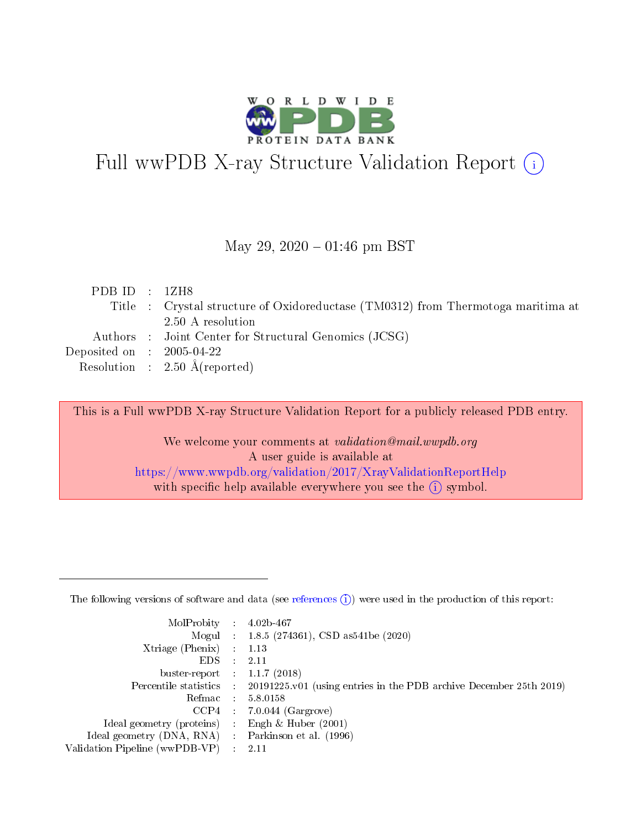

# Full wwPDB X-ray Structure Validation Report (i)

#### May 29,  $2020 - 01:46$  pm BST

| PDBID : 1ZH8                         |                                                                                  |
|--------------------------------------|----------------------------------------------------------------------------------|
|                                      | Title : Crystal structure of Oxidoreductase (TM0312) from Thermotoga maritima at |
|                                      | 2.50 A resolution                                                                |
|                                      | Authors : Joint Center for Structural Genomics (JCSG)                            |
| Deposited on $\therefore$ 2005-04-22 |                                                                                  |
|                                      | Resolution : $2.50 \text{ Å}$ (reported)                                         |

This is a Full wwPDB X-ray Structure Validation Report for a publicly released PDB entry.

We welcome your comments at validation@mail.wwpdb.org A user guide is available at <https://www.wwpdb.org/validation/2017/XrayValidationReportHelp> with specific help available everywhere you see the  $(i)$  symbol.

The following versions of software and data (see [references](https://www.wwpdb.org/validation/2017/XrayValidationReportHelp#references)  $(1)$ ) were used in the production of this report:

| MolProbity                     | $\mathcal{L}_{\rm{max}}$ | $4.02b - 467$                                                                |
|--------------------------------|--------------------------|------------------------------------------------------------------------------|
|                                |                          | Mogul : $1.8.5$ (274361), CSD as 541be (2020)                                |
| $X$ triage (Phenix) :          |                          | 1.13                                                                         |
| EDS.                           |                          | 2.11                                                                         |
| buster-report : $1.1.7$ (2018) |                          |                                                                              |
| Percentile statistics :        |                          | $20191225 \text{ v}01$ (using entries in the PDB archive December 25th 2019) |
| Refmac                         |                          | 5.8.0158                                                                     |
| $CCP4$ :                       |                          | $7.0.044$ (Gargrove)                                                         |
| Ideal geometry (proteins) :    |                          | Engh $\&$ Huber (2001)                                                       |
| Ideal geometry (DNA, RNA) :    |                          | Parkinson et al. (1996)                                                      |
| Validation Pipeline (wwPDB-VP) | $\mathcal{L}$            | -2.11                                                                        |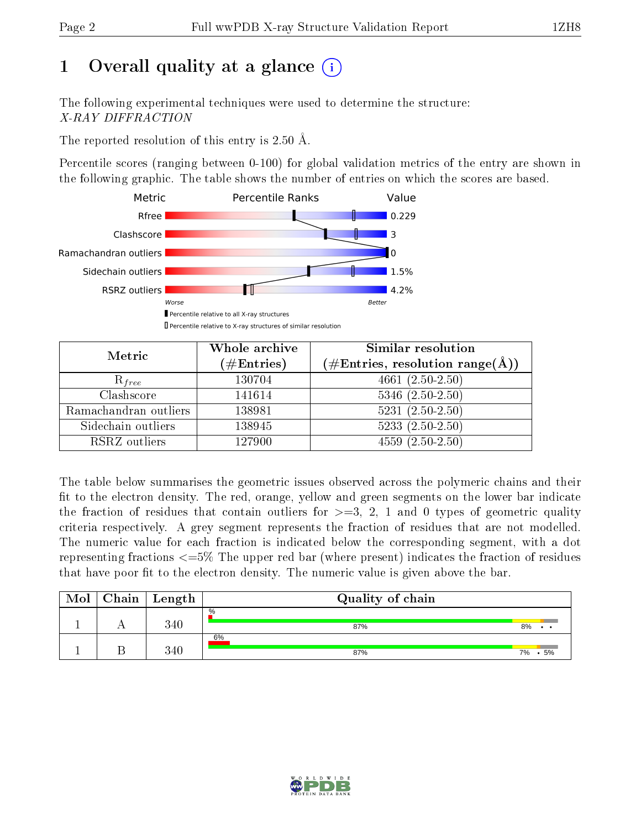# 1 [O](https://www.wwpdb.org/validation/2017/XrayValidationReportHelp#overall_quality)verall quality at a glance  $(i)$

The following experimental techniques were used to determine the structure: X-RAY DIFFRACTION

The reported resolution of this entry is  $2.50 \text{ Å}.$ 

Percentile scores (ranging between 0-100) for global validation metrics of the entry are shown in the following graphic. The table shows the number of entries on which the scores are based.



| Metric                | Whole archive<br>$(\#\mathrm{Entries})$ | Similar resolution<br>$(\#\text{Entries},\,\text{resolution}\,\,\text{range}(\textup{\AA}))$ |  |  |
|-----------------------|-----------------------------------------|----------------------------------------------------------------------------------------------|--|--|
| $R_{free}$            | 130704                                  | $4661(2.50-2.50)$                                                                            |  |  |
| Clashscore            | 141614                                  | $5346$ $(2.50-2.50)$                                                                         |  |  |
| Ramachandran outliers | 138981                                  | $5231 (2.50 - 2.50)$                                                                         |  |  |
| Sidechain outliers    | 138945                                  | $5233(2.50-2.50)$                                                                            |  |  |
| RSRZ outliers         | 127900                                  | $4559(2.50-2.50)$                                                                            |  |  |

The table below summarises the geometric issues observed across the polymeric chains and their fit to the electron density. The red, orange, yellow and green segments on the lower bar indicate the fraction of residues that contain outliers for  $>=3, 2, 1$  and 0 types of geometric quality criteria respectively. A grey segment represents the fraction of residues that are not modelled. The numeric value for each fraction is indicated below the corresponding segment, with a dot representing fractions  $\epsilon=5\%$  The upper red bar (where present) indicates the fraction of residues that have poor fit to the electron density. The numeric value is given above the bar.

| Mol | Chain | $\mid$ Length | Quality of chain     |          |
|-----|-------|---------------|----------------------|----------|
|     |       | 340           | $\frac{0}{0}$<br>87% | 8%       |
|     |       | 340           | 6%<br>87%            | 7%<br>5% |

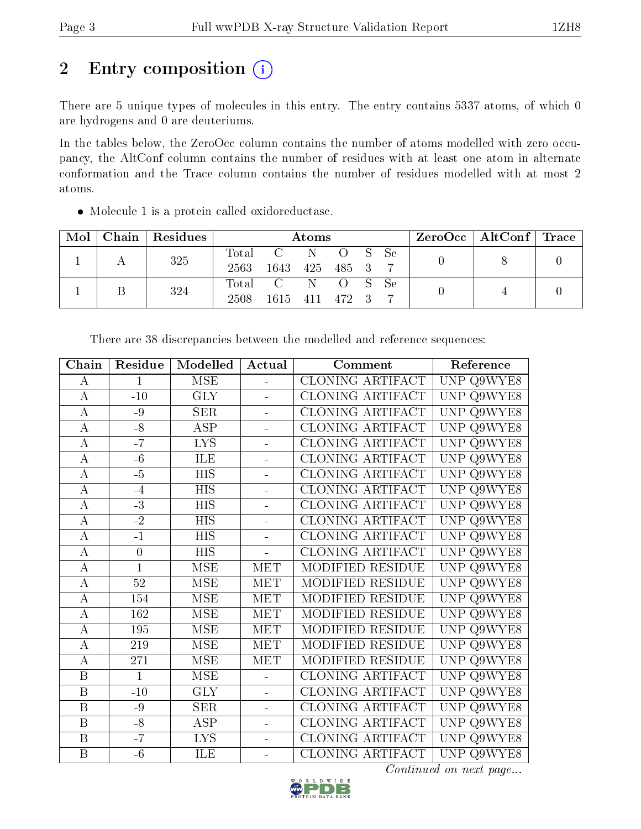# 2 Entry composition (i)

There are 5 unique types of molecules in this entry. The entry contains 5337 atoms, of which 0 are hydrogens and 0 are deuteriums.

In the tables below, the ZeroOcc column contains the number of atoms modelled with zero occupancy, the AltConf column contains the number of residues with at least one atom in alternate conformation and the Trace column contains the number of residues modelled with at most 2 atoms.

Molecule 1 is a protein called oxidoreductase.

| Mol | Chain   Residues | Atoms         |                   |           |                  |  | ZeroOcc   AltConf   Trace |  |  |
|-----|------------------|---------------|-------------------|-----------|------------------|--|---------------------------|--|--|
|     | 325              | Total<br>2563 | C N<br>1643       | 425 485 3 | O S Se           |  |                           |  |  |
|     | 324              | 2508          | Total C N<br>1615 | 411 472 3 | $\overline{O}$ S |  | – Se                      |  |  |

| ${\bf Chain}$           | Residue<br>Modelled<br>Actual |                         | Comment                  | Reference               |                      |
|-------------------------|-------------------------------|-------------------------|--------------------------|-------------------------|----------------------|
| А                       | $\mathbf{1}$                  | <b>MSE</b>              | $\blacksquare$           | CLONING ARTIFACT        | UNP Q9WYE8           |
| $\boldsymbol{A}$        | $-10$                         | <b>GLY</b>              | $\equiv$                 | CLONING ARTIFACT        | UNP Q9WYE8           |
| $\bf{A}$                | $-9$                          | <b>SER</b>              | $\overline{a}$           | CLONING ARTIFACT        | UNP Q9WYE8           |
| $\overline{A}$          | $-8$                          | <b>ASP</b>              | $\overline{a}$           | <b>CLONING ARTIFACT</b> | UNP Q9WYE8           |
| $\bf{A}$                | $-\overline{7}$               | $\overline{\text{LYS}}$ | $\blacksquare$           | CLONING ARTIFACT        | UNP Q9WYE8           |
| $\bf{A}$                | $-6$                          | ILE                     | $\blacksquare$           | CLONING ARTIFACT        | UNP<br>Q9WYE8        |
| $\overline{A}$          | $-5$                          | $\overline{HIS}$        | $\overline{\phantom{a}}$ | <b>CLONING ARTIFACT</b> | Q9WYE8<br>UNP        |
| $\bf{A}$                | $-4$                          | <b>HIS</b>              | ÷                        | CLONING ARTIFACT        | <b>UNP</b><br>Q9WYE8 |
| $\boldsymbol{A}$        | $-3$                          | HIS                     |                          | CLONING ARTIFACT        | UNP<br>Q9WYE8        |
| А                       | $\overline{-2}$               | <b>HIS</b>              | $\overline{a}$           | CLONING ARTIFACT        | UNP Q9WYE8           |
| $\overline{A}$          | $-1$                          | <b>HIS</b>              | L,                       | CLONING ARTIFACT        | UNP Q9WYE8           |
| A                       | $\boldsymbol{0}$              | <b>HIS</b>              | ä,                       | CLONING ARTIFACT        | UNP Q9WYE8           |
| $\overline{\rm A}$      | $\mathbf{1}$                  | MSE                     | <b>MET</b>               | MODIFIED RESIDUE        | UNP<br>Q9WYE8        |
| $\bf{A}$                | 52                            | <b>MSE</b>              | MET                      | MODIFIED RESIDUE        | UNP Q9WYE8           |
| $\overline{A}$          | 154                           | $\overline{\rm MSE}$    | <b>MET</b>               | MODIFIED RESIDUE        | <b>UNP</b><br>Q9WYE8 |
| $\bf{A}$                | 162                           | <b>MSE</b>              | <b>MET</b>               | MODIFIED RESIDUE        | UNP<br>Q9WYE8        |
| A                       | 195                           | <b>MSE</b>              | MET                      | MODIFIED RESIDUE        | UNP Q9WYE8           |
| $\overline{\rm A}$      | 219                           | <b>MSE</b>              | MET                      | MODIFIED RESIDUE        | UNP Q9WYE8           |
| $\bf{A}$                | 271                           | <b>MSE</b>              | <b>MET</b>               | MODIFIED RESIDUE        | UNP Q9WYE8           |
| $\overline{\mathrm{B}}$ | $\overline{1}$                | <b>MSE</b>              | $\overline{\phantom{0}}$ | CLONING ARTIFACT        | UNP<br>Q9WYE8        |
| $\boldsymbol{B}$        | $-10$                         | <b>GLY</b>              | $\overline{a}$           | CLONING ARTIFACT        | UNP<br>Q9WYE8        |
| $\overline{\mathrm{B}}$ | $-9$                          | SER                     | $\equiv$                 | CLONING ARTIFACT        | <b>UNP</b><br>Q9WYE8 |
| $\overline{B}$          | $-8$                          | ASP                     | $\overline{\phantom{0}}$ | <b>CLONING ARTIFACT</b> | <b>UNP</b><br>Q9WYE8 |
| $\mathbf B$             | $-7$                          | <b>LYS</b>              |                          | CLONING ARTIFACT        | UNP<br>Q9WYE8        |
| $\boldsymbol{B}$        | $-6$                          | ILE                     |                          | CLONING ARTIFACT        | UNP Q9WYE8           |

There are 38 discrepancies between the modelled and reference sequences:

Continued on next page...

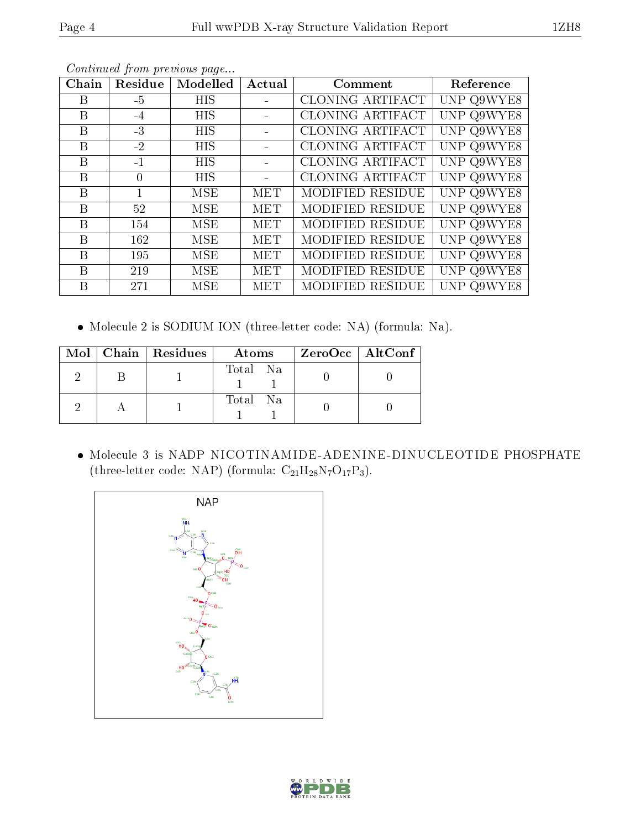|--|

| Chain        | Residue      | Modelled   | Actual     | Comment          | Reference  |
|--------------|--------------|------------|------------|------------------|------------|
| B            | $-5$         | <b>HIS</b> |            | CLONING ARTIFACT | UNP Q9WYE8 |
| B            | $-4$         | <b>HIS</b> |            | CLONING ARTIFACT | UNP Q9WYE8 |
| B            | $-3$         | <b>HIS</b> |            | CLONING ARTIFACT | UNP Q9WYE8 |
| B            | $-2$         | <b>HIS</b> |            | CLONING ARTIFACT | UNP Q9WYE8 |
| B            | $-1$         | <b>HIS</b> |            | CLONING ARTIFACT | UNP Q9WYE8 |
| B            | $\Omega$     | <b>HIS</b> |            | CLONING ARTIFACT | UNP Q9WYE8 |
| B            | $\mathbf{1}$ | MSE        | <b>MET</b> | MODIFIED RESIDUE | UNP Q9WYE8 |
| B            | 52           | MSE        | MET        | MODIFIED RESIDUE | UNP Q9WYE8 |
| <sub>B</sub> | 154          | MSE        | <b>MET</b> | MODIFIED RESIDUE | UNP Q9WYE8 |
| $\mathbf{B}$ | 162          | MSE        | MET        | MODIFIED RESIDUE | UNP Q9WYE8 |
| B            | 195          | MSE        | MET        | MODIFIED RESIDUE | UNP Q9WYE8 |
| B            | 219          | MSE        | <b>MET</b> | MODIFIED RESIDUE | UNP Q9WYE8 |
| B            | 271          | MSE        | MET        | MODIFIED RESIDUE | UNP Q9WYE8 |

Continued from previous page...

Molecule 2 is SODIUM ION (three-letter code: NA) (formula: Na).

|  | Mol   Chain   Residues | Atoms    | $ZeroOcc$   AltConf |
|--|------------------------|----------|---------------------|
|  |                        | Total Na |                     |
|  |                        | Total Na |                     |

 Molecule 3 is NADP NICOTINAMIDE-ADENINE-DINUCLEOTIDE PHOSPHATE (three-letter code: NAP) (formula:  $\mathrm{C}_{21}\mathrm{H}_{28}\mathrm{N}_{7}\mathrm{O}_{17}\mathrm{P}_{3}$ ).



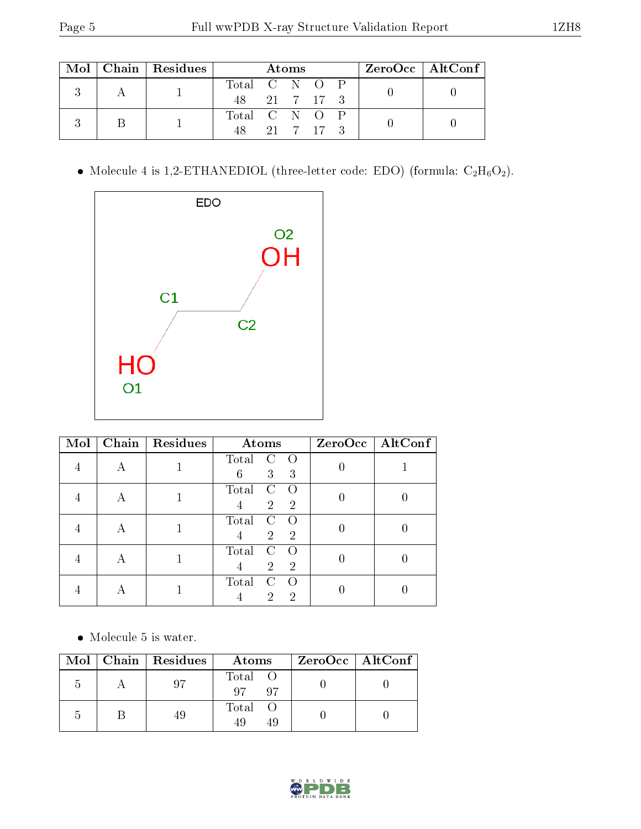|  |  | $\text{Mol}$   Chain   Residues | Atoms         |  |  |           |               | $ZeroOcc \mid AltConf \mid$ |  |  |  |  |
|--|--|---------------------------------|---------------|--|--|-----------|---------------|-----------------------------|--|--|--|--|
|  |  |                                 | Total C N O P |  |  |           |               |                             |  |  |  |  |
|  |  | 48 21 7 17 3                    |               |  |  |           |               |                             |  |  |  |  |
|  |  |                                 |               |  |  |           | Total C N O P |                             |  |  |  |  |
|  |  |                                 | 48            |  |  | 21 7 17 3 |               |                             |  |  |  |  |

 $\bullet$  Molecule 4 is 1,2-ETHANEDIOL (three-letter code: EDO) (formula:  $\rm{C_2H_6O_2}).$ 



| Mol | Chain | Residues | Atoms                                                                                            | $ZeroOcc$   AltConf |
|-----|-------|----------|--------------------------------------------------------------------------------------------------|---------------------|
|     |       |          | Total<br>С<br>$\Omega$<br>3<br>6<br>3                                                            |                     |
|     | А     |          | Total<br>C<br>$\Omega$<br>$\overline{2}$<br>$\overline{2}$                                       |                     |
|     | А     |          | Total<br>$\mathcal{C}$<br>$\left( \right)$<br>$\overline{2}$<br>$\overline{2}$<br>$\overline{4}$ |                     |
|     | А     |          | Total<br>C<br>∩<br>$\overline{2}$<br>$\overline{2}$                                              |                     |
|     | А     |          | Total<br>$\mathcal{C}$<br>$\bigcap$<br>2<br>2                                                    |                     |

 $\bullet\,$  Molecule 5 is water.

| Mol | Chain   Residues |  | Atoms                | ZeroOcc   AltConf |
|-----|------------------|--|----------------------|-------------------|
| h   |                  |  | Total O<br>Q7<br>-97 |                   |
| ۰,  |                  |  | Total O<br>49        |                   |

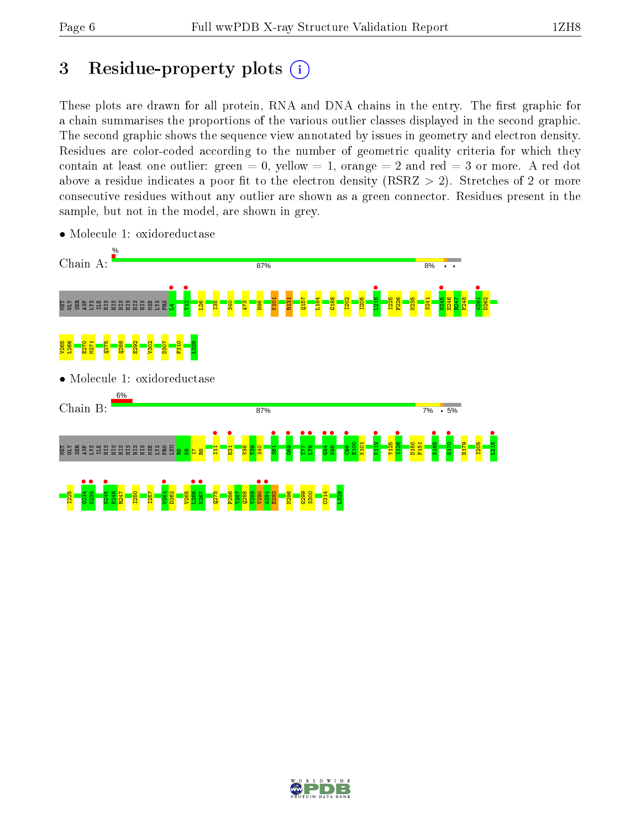# 3 Residue-property plots  $(i)$

These plots are drawn for all protein, RNA and DNA chains in the entry. The first graphic for a chain summarises the proportions of the various outlier classes displayed in the second graphic. The second graphic shows the sequence view annotated by issues in geometry and electron density. Residues are color-coded according to the number of geometric quality criteria for which they contain at least one outlier: green  $= 0$ , yellow  $= 1$ , orange  $= 2$  and red  $= 3$  or more. A red dot above a residue indicates a poor fit to the electron density (RSRZ  $> 2$ ). Stretches of 2 or more consecutive residues without any outlier are shown as a green connector. Residues present in the sample, but not in the model, are shown in grey.



• Molecule 1: oxidoreductase

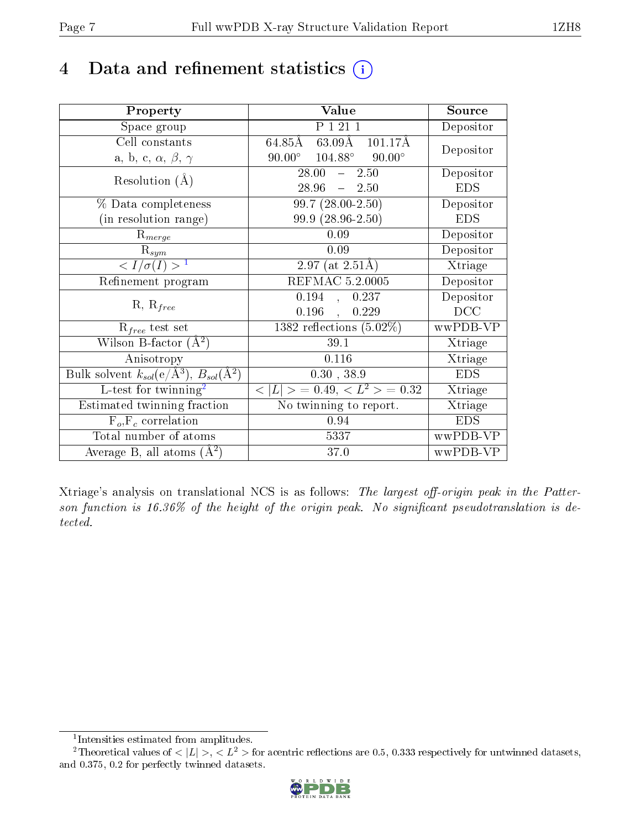# 4 Data and refinement statistics  $(i)$

| Property                                                             | Value                                              | Source     |
|----------------------------------------------------------------------|----------------------------------------------------|------------|
| Space group                                                          | P 1 21 1                                           | Depositor  |
| Cell constants                                                       | 63.09Å<br>$64.85\text{\AA}$<br>$101.17\text{\AA}$  | Depositor  |
| a, b, c, $\alpha$ , $\beta$ , $\gamma$                               | $104.88^\circ$<br>$90.00^\circ$<br>$90.00^{\circ}$ |            |
| Resolution $(A)$                                                     | $28.00^{-7}$<br>2.50<br>$\frac{1}{2}$              | Depositor  |
|                                                                      | $28.96 - 2.50$                                     | <b>EDS</b> |
| % Data completeness                                                  | $99.7(28.00-2.50)$                                 | Depositor  |
| (in resolution range)                                                | $99.9(28.96-2.50)$                                 | <b>EDS</b> |
| $R_{merge}$                                                          | 0.09                                               | Depositor  |
| $\mathrm{R}_{sym}$                                                   | 0.09                                               | Depositor  |
| $\sqrt{I/\sigma}(I) > 1$                                             | $2.97$ (at $2.51\text{\AA}$ )                      | Xtriage    |
| Refinement program                                                   | <b>REFMAC 5.2.0005</b>                             | Depositor  |
|                                                                      | 0.194<br>0.237<br>$\ddot{\phantom{1}}$             | Depositor  |
| $R, R_{free}$                                                        | 0.196<br>0.229                                     | DCC        |
| $\mathcal{R}_{free}$ test set                                        | 1382 reflections $(5.02\%)$                        | wwPDB-VP   |
| Wilson B-factor $(A^2)$                                              | 39.1                                               | Xtriage    |
| Anisotropy                                                           | 0.116                                              | Xtriage    |
| Bulk solvent $k_{sol}(e/\mathring{A}^3)$ , $B_{sol}(\mathring{A}^2)$ | 0.30, 38.9                                         | <b>EDS</b> |
| L-test for twinning <sup>2</sup>                                     | $< L >$ = 0.49, $< L^2 >$ = 0.32                   | Xtriage    |
| Estimated twinning fraction                                          | No twinning to report.                             | Xtriage    |
| $F_o, F_c$ correlation                                               | 0.94                                               | <b>EDS</b> |
| Total number of atoms                                                | 5337                                               | wwPDB-VP   |
| Average B, all atoms $(A^2)$                                         | 37.0                                               | wwPDB-VP   |

Xtriage's analysis on translational NCS is as follows: The largest off-origin peak in the Patterson function is  $16.36\%$  of the height of the origin peak. No significant pseudotranslation is detected.

<sup>&</sup>lt;sup>2</sup>Theoretical values of  $\langle |L| \rangle$ ,  $\langle L^2 \rangle$  for acentric reflections are 0.5, 0.333 respectively for untwinned datasets, and 0.375, 0.2 for perfectly twinned datasets.



<span id="page-6-1"></span><span id="page-6-0"></span><sup>1</sup> Intensities estimated from amplitudes.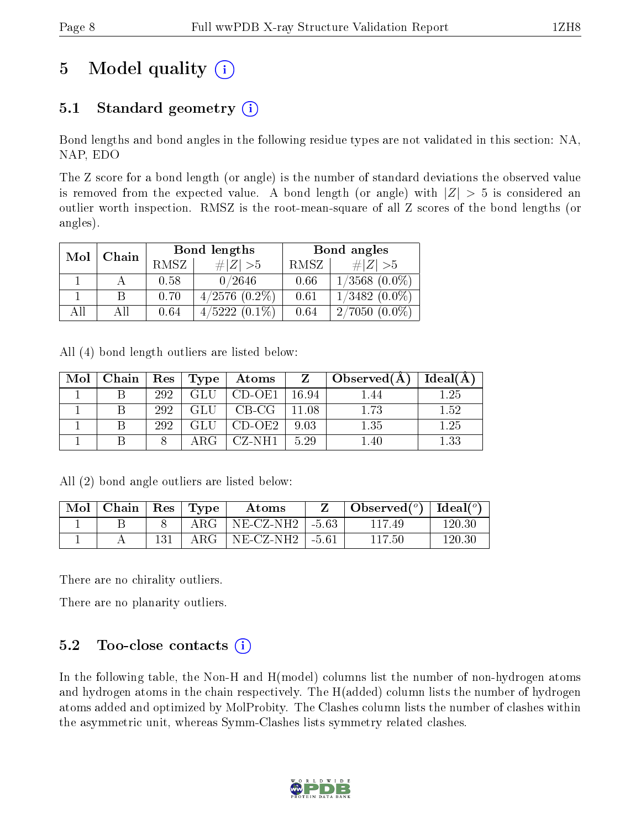# 5 Model quality  $(i)$

### 5.1 Standard geometry  $(i)$

Bond lengths and bond angles in the following residue types are not validated in this section: NA, NAP, EDO

The Z score for a bond length (or angle) is the number of standard deviations the observed value is removed from the expected value. A bond length (or angle) with  $|Z| > 5$  is considered an outlier worth inspection. RMSZ is the root-mean-square of all Z scores of the bond lengths (or angles).

| Mol<br>Chain |    |      | Bond lengths       | Bond angles |                     |  |
|--------------|----|------|--------------------|-------------|---------------------|--|
|              |    | RMSZ | $\# Z >5$          | RMSZ        | # $ Z  > 5$         |  |
|              |    | 0.58 | 0/2646             | 0.66        | $1/3568$ $(0.0\%)$  |  |
|              |    | 0.70 | $4/2576$ $(0.2\%)$ | 0.61        | $1/3482$ $(0.0\%)$  |  |
| AII          | АH | 0.64 | $4/5222(0.1\%)$    | 0.64        | 2/7050<br>$(0.0\%)$ |  |

All (4) bond length outliers are listed below:

| Mol | Chain   Res   Type |     |       | $\mid$ $\,$ Atoms $\mid$ | $Z_{\perp}$  | $\Delta$ Observed(A) | $\Box$ Ideal(A) |
|-----|--------------------|-----|-------|--------------------------|--------------|----------------------|-----------------|
|     |                    | 292 | GLU   | CD-OE1                   | - 16.94      | 1.44                 | $1.25\,$        |
|     |                    | 292 | GLU   | $CB-CG$                  | $\mid$ 11.08 | 1.73                 | 1.52            |
|     |                    | 292 | GLU   | $\vert$ CD-OE2 $\vert$   | 9.03         | 1.35                 | 1.25            |
|     |                    |     | A R G | CZ-NH1                   | 5.29         |                      | $1.33\,$        |

All (2) bond angle outliers are listed below:

| Mol | $\vert$ Chain $\vert$ Res $\vert$ Type |       | Atoms               | $\bullet$ Observed( $^o$ )   Ideal( $^o$ ) |        |
|-----|----------------------------------------|-------|---------------------|--------------------------------------------|--------|
|     |                                        | ARG-  | ' NE-CZ-NH2∣-5.63⊣  | 117 49                                     | 120-30 |
|     |                                        | A R G | $NE-CZ-NH2$   -5.61 | 117.50                                     | 120-30 |

There are no chirality outliers.

There are no planarity outliers.

### 5.2 Too-close contacts  $(i)$

In the following table, the Non-H and H(model) columns list the number of non-hydrogen atoms and hydrogen atoms in the chain respectively. The H(added) column lists the number of hydrogen atoms added and optimized by MolProbity. The Clashes column lists the number of clashes within the asymmetric unit, whereas Symm-Clashes lists symmetry related clashes.

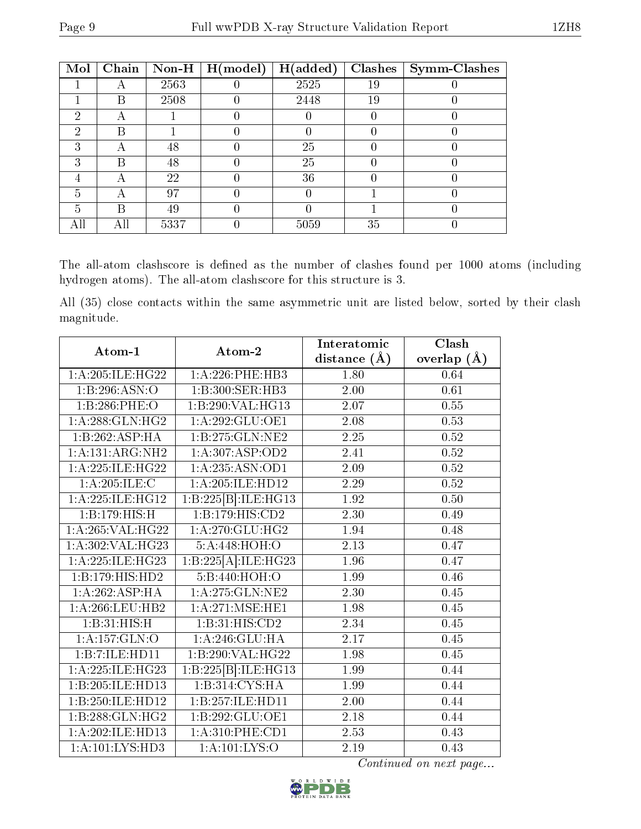| Mol | Chain | $\bf Non-H$ | H (model) | H(added) | <b>Clashes</b> | <b>Symm-Clashes</b> |
|-----|-------|-------------|-----------|----------|----------------|---------------------|
|     |       | 2563        |           | 2525     | 19             |                     |
|     | В     | 2508        |           | 2448     | 19             |                     |
| 2   |       |             |           |          |                |                     |
| 2   | B     |             |           |          |                |                     |
| 3   |       | 48          |           | 25       |                |                     |
| ົ   | R     | 48          |           | 25       |                |                     |
|     |       | 22          |           | 36       |                |                     |
| 5   |       | 97          |           |          |                |                     |
| 5   | R     | 49          |           |          |                |                     |
|     | Аll   | 5337        |           | 5059     | 35             |                     |

The all-atom clashscore is defined as the number of clashes found per 1000 atoms (including hydrogen atoms). The all-atom clashscore for this structure is 3.

All (35) close contacts within the same asymmetric unit are listed below, sorted by their clash magnitude.

| Atom-1                                | Atom-2                 | Interatomic    | Clash         |
|---------------------------------------|------------------------|----------------|---------------|
|                                       |                        | distance $(A)$ | overlap $(A)$ |
| 1:A:205:ILE:HG22                      | 1:A:226:PHE:HB3        | 1.80           | 0.64          |
| 1:B:296:ASN:O                         | 1:B:300:SER:HB3        | 2.00           | 0.61          |
| 1:B:286:PHE:O                         | 1:B:290:VAL:HG13       | 2.07           | $0.55\,$      |
| 1: A:288: GLN: HG2                    | 1:A:292:GLU:OE1        | 2.08           | 0.53          |
| 1:B:262:ASP:HA                        | 1:B:275:GLN:NE2        | 2.25           | $0.52\,$      |
| $1:A:131:A\overline{\mathrm{RG:NH2}}$ | 1: A:307: ASP:OD2      | 2.41           | 0.52          |
| 1: A:225: ILE: HG22                   | 1: A:235: ASN:OD1      | 2.09           | $0.52\,$      |
| 1:A:205:ILE:C                         | 1:A:205:ILE:HD12       | 2.29           | 0.52          |
| 1:A:225:ILE:HG12                      | 1:B:225[B]:ILE:HG13    | 1.92           | 0.50          |
| 1:B:179:HIS:H                         | 1:B:179:HIS:CD2        | 2.30           | 0.49          |
| $1:A:265:\overline{VAL:HG22}$         | 1: A:270: GLU:HG2      | 1.94           | 0.48          |
| 1:A:302:VAL:HG23                      | 5:A:448:HOH:O          | 2.13           | 0.47          |
| 1: A:225: ILE: HG23                   | 1:B:225[A]:ILE:HG23    | 1.96           | 0.47          |
| 1:B:179:HIS:HD2                       | 5:B:440:HOH:O          | 1.99           | 0.46          |
| 1:A:262:ASP:HA                        | 1:A:275:GLN:NE2        | 2.30           | 0.45          |
| 1: A:266:LEU:HB2                      | 1: A:271: MSE: HE1     | 1.98           | 0.45          |
| 1:B:31:HIS:H                          | 1:B:31:HIS:CD2         | 2.34           | 0.45          |
| 1: A: 157: GLN: O                     | 1: A:246: GLU: HA      | 2.17           | 0.45          |
| 1:B:7:ILE:HD11                        | 1:B:290:VAL:HG22       | 1.98           | 0.45          |
| 1: A:225: ILE: HG23                   | 1:B:225[B]:ILE:HG13    | 1.99           | 0.44          |
| 1:B:205:ILE:HD13                      | 1:B:314:CYS:HA         | 1.99           | 0.44          |
| 1:B:250:ILE:HD12                      | 1:B:257:ILE:HD11       | 2.00           | 0.44          |
| 1:B:288:GLN:HG2                       | 1:B:292:GLU:OE1        | 2.18           | 0.44          |
| 1:A:202:ILE:H <sub>D13</sub>          | $1: A:310:$ PHE: $CD1$ | 2.53           | 0.43          |
| 1: A: 101: LYS: HD3                   | 1: A: 101: LYS: O      | 2.19           | 0.43          |

Continued on next page...

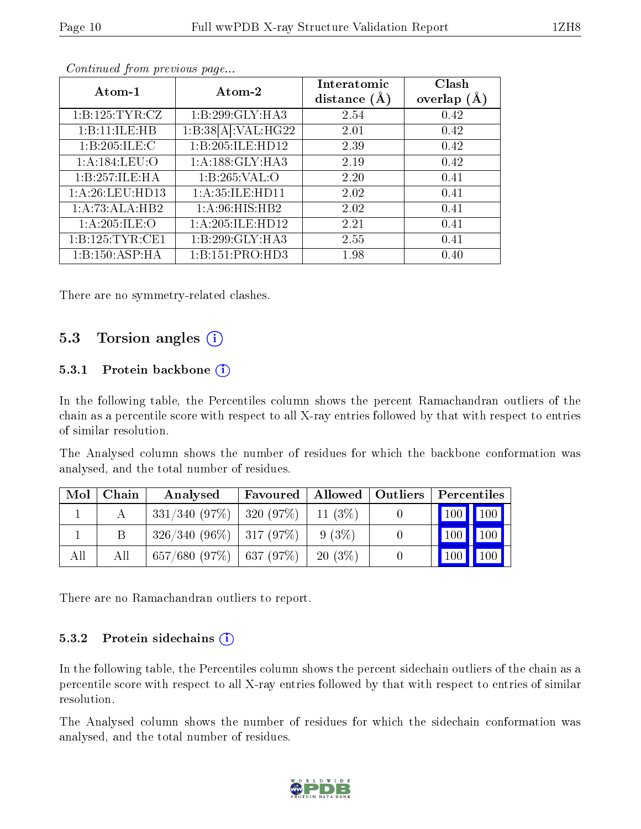| Atom-1              | Atom-2                       | Interatomic<br>distance $(A)$ | Clash<br>overlap $(A)$ |
|---------------------|------------------------------|-------------------------------|------------------------|
| 1: B: 125: TYR: CZ  | 1:B:299:GLY:HA3              | 2.54                          | 0.42                   |
| 1:B:11:ILE:HB       | 1:B:38[A]:VAL:HG22           | 2.01                          | 0.42                   |
| 1:B:205:ILE:C       | 1:B:205:ILE:HD12             | 2.39                          | 0.42                   |
| 1: A: 184: LEU: O   | $1:A:188:GLY:H\overline{A3}$ | 2.19                          | 0.42                   |
| 1:B:257:ILE:HA      | 1:B:265:VAL:O                | 2.20                          | 0.41                   |
| 1: A:26:LEU:HD13    | 1: A:35: ILE: HD11           | 2.02                          | 0.41                   |
| 1:A:73:ALA:HB2      | $1:A:96:HIS:H\overline{B2}$  | 2.02                          | 0.41                   |
| 1: A:205: ILE:O     | 1: A:205: ILE: HD12          | 2.21                          | 0.41                   |
| 1: B: 125: TYR: CE1 | 1:B:299:GLY:HA3              | 2.55                          | 0.41                   |
| 1: B: 150: ASP: HA  | 1:B:151:PRO:HD3              | 1.98                          | 0.40                   |

Continued from previous page...

There are no symmetry-related clashes.

### 5.3 Torsion angles (i)

#### 5.3.1 Protein backbone  $(i)$

In the following table, the Percentiles column shows the percent Ramachandran outliers of the chain as a percentile score with respect to all X-ray entries followed by that with respect to entries of similar resolution.

The Analysed column shows the number of residues for which the backbone conformation was analysed, and the total number of residues.

| Mol | Chain | Analysed                          | Favoured   Allowed   Outliers   Percentiles |           |                         |                     |
|-----|-------|-----------------------------------|---------------------------------------------|-----------|-------------------------|---------------------|
|     |       | $331/340$ (97\%)   320 (97\%)     |                                             | $11(3\%)$ | 100 100                 |                     |
|     |       | $326/340(96\%)$   317 (97\%)      |                                             | 9(3%)     | $100$   $100$           |                     |
| All | Аll   | $657/680$ $(97\%)$   637 $(97\%)$ |                                             | $20(3\%)$ | $\vert 100 \vert \vert$ | $\vert$ 100 $\vert$ |

There are no Ramachandran outliers to report.

#### 5.3.2 Protein sidechains (i)

In the following table, the Percentiles column shows the percent sidechain outliers of the chain as a percentile score with respect to all X-ray entries followed by that with respect to entries of similar resolution.

The Analysed column shows the number of residues for which the sidechain conformation was analysed, and the total number of residues.

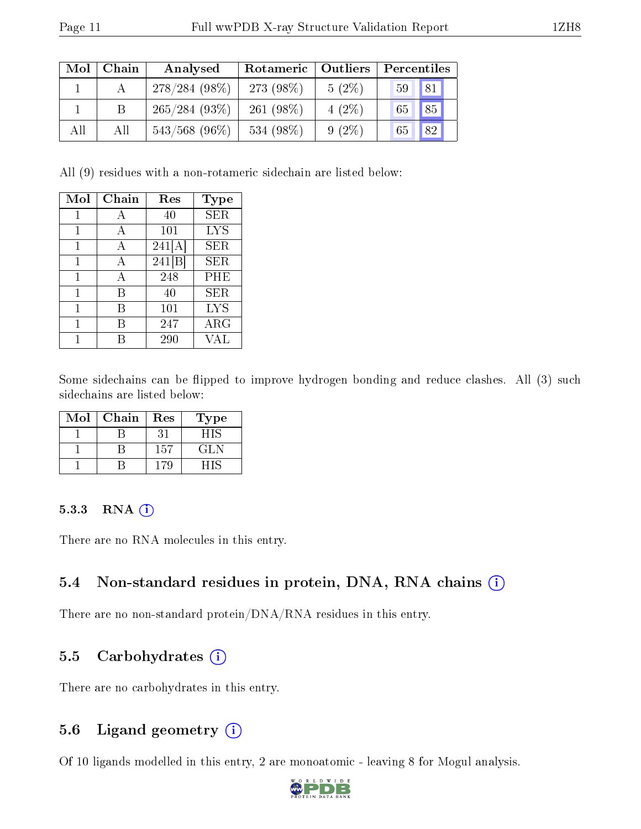| Mol | Chain | Analysed         | Rotameric   Outliers |          | Percentiles |             |
|-----|-------|------------------|----------------------|----------|-------------|-------------|
|     |       | $278/284(98\%)$  | 273 (98\%)           | $5(2\%)$ | 59          | $\sqrt{81}$ |
|     |       | 265/284(93%)     | 261 $(98\%)$         | $4(2\%)$ | 65          | $\sqrt{85}$ |
| All | All   | $543/568$ (96\%) | 534 (98%)            | $9(2\%)$ | 65          | 82          |

All (9) residues with a non-rotameric sidechain are listed below:

| Mol | Chain | Res    | <b>Type</b> |
|-----|-------|--------|-------------|
| 1   | А     | 40     | <b>SER</b>  |
| 1   | А     | 101    | <b>LYS</b>  |
| 1   | A     | 241[A] | <b>SER</b>  |
| 1   | А     | 241[B] | SER         |
| 1   | A     | 248    | PHE         |
| 1   | В     | 40     | <b>SER</b>  |
| 1   | В     | 101    | <b>LYS</b>  |
| 1   |       | 247    | $\rm{ARG}$  |
|     |       | 290    | VAL         |

Some sidechains can be flipped to improve hydrogen bonding and reduce clashes. All (3) such sidechains are listed below:

| Mol | Chain | Res | Type |
|-----|-------|-----|------|
|     |       |     |      |
|     |       | 157 | GL N |
|     |       |     |      |

#### 5.3.3 RNA [O](https://www.wwpdb.org/validation/2017/XrayValidationReportHelp#rna)i

There are no RNA molecules in this entry.

#### 5.4 Non-standard residues in protein, DNA, RNA chains (i)

There are no non-standard protein/DNA/RNA residues in this entry.

#### 5.5 Carbohydrates  $(i)$

There are no carbohydrates in this entry.

#### 5.6 Ligand geometry (i)

Of 10 ligands modelled in this entry, 2 are monoatomic - leaving 8 for Mogul analysis.

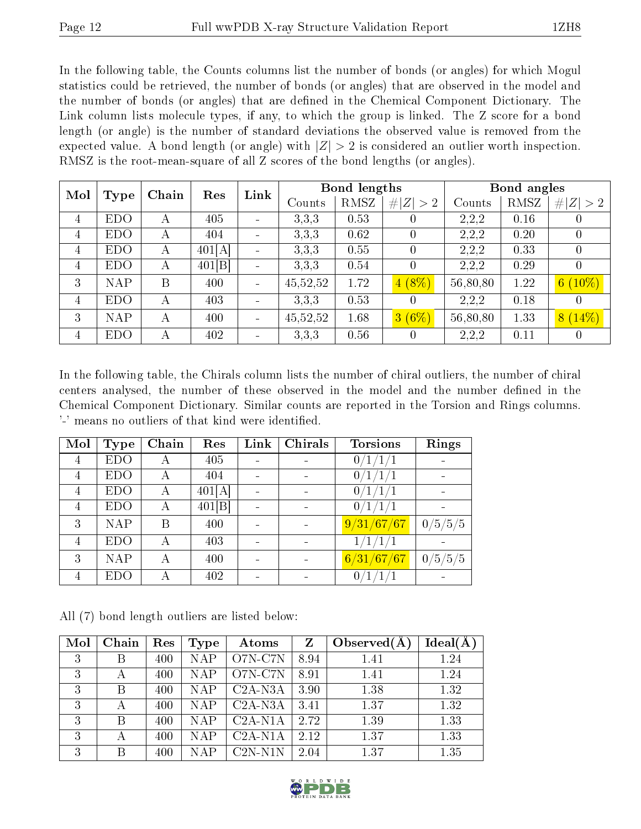In the following table, the Counts columns list the number of bonds (or angles) for which Mogul statistics could be retrieved, the number of bonds (or angles) that are observed in the model and the number of bonds (or angles) that are dened in the Chemical Component Dictionary. The Link column lists molecule types, if any, to which the group is linked. The Z score for a bond length (or angle) is the number of standard deviations the observed value is removed from the expected value. A bond length (or angle) with  $|Z| > 2$  is considered an outlier worth inspection. RMSZ is the root-mean-square of all Z scores of the bond lengths (or angles).

| Mol            |            |       | Res    | Link                     | <b>Bond lengths</b> |      |                  | Bond angles |      |                  |
|----------------|------------|-------|--------|--------------------------|---------------------|------|------------------|-------------|------|------------------|
|                | Type       | Chain |        |                          | Counts              | RMSZ | # $ Z  > 2$      | Counts      | RMSZ | Z  > 2<br>#      |
| $\overline{4}$ | <b>EDO</b> | А     | 405    | $\sim$                   | 3,3,3               | 0.53 | $\left( \right)$ | 2,2,2       | 0.16 | $\left( \right)$ |
| $\overline{4}$ | <b>EDO</b> | А     | 404    | $\overline{\phantom{a}}$ | 3,3,3               | 0.62 | $\left( \right)$ | 2,2,2       | 0.20 | $\left( \right)$ |
| 4              | <b>EDO</b> | А     | 401[A] | $\overline{\phantom{a}}$ | 3,3,3               | 0.55 | $\theta$         | 2,2,2       | 0.33 | 0                |
| 4              | <b>EDO</b> | А     | 401[B] | -                        | 3,3,3               | 0.54 | $\theta$         | 2,2,2       | 0.29 | $\theta$         |
| 3              | <b>NAP</b> | B     | 400    | $\overline{\phantom{a}}$ | 45,52,52            | 1.72 | $4(8\%)$         | 56,80,80    | 1.22 | $6(10\%)$        |
| 4              | <b>EDO</b> | А     | 403    |                          | 3,3,3               | 0.53 | $\theta$         | 2,2,2       | 0.18 | 0                |
| 3              | <b>NAP</b> | А     | 400    |                          | 45,52,52            | 1.68 | 3(6%)            | 56,80,80    | 1.33 | $8(14\%)$        |
| $\overline{4}$ | <b>EDO</b> | А     | 402    |                          | 3,3,3               | 0.56 | $\theta$         | 2,2,2       | 0.11 | 0                |

In the following table, the Chirals column lists the number of chiral outliers, the number of chiral centers analysed, the number of these observed in the model and the number defined in the Chemical Component Dictionary. Similar counts are reported in the Torsion and Rings columns. '-' means no outliers of that kind were identified.

| Mol            | <b>Type</b> | Chain | Res    | Link | Chirals | <b>Torsions</b> | Rings   |
|----------------|-------------|-------|--------|------|---------|-----------------|---------|
| 4              | <b>EDO</b>  | А     | 405    |      |         | 0/1/1/1         |         |
| 4              | <b>EDO</b>  |       | 404    |      |         | T               |         |
| $\overline{4}$ | <b>EDO</b>  | А     | 401[A] |      |         |                 |         |
| 4              | <b>EDO</b>  | А     | 401[B] |      |         | 0/1/1/1         |         |
| 3              | <b>NAP</b>  | В     | 400    |      |         | 9/31/67/67      | 0/5/5/5 |
| 4              | <b>EDO</b>  | А     | 403    |      |         | 1/1/1/1         |         |
| 3              | <b>NAP</b>  | А     | 400    |      |         | 6/31/67/67      | 0/5/5/5 |
| $\overline{4}$ | EDO         |       | 402    |      |         | 0/1/            |         |

All (7) bond length outliers are listed below:

| Mol | Chain | Res | Type       | Atoms      | Z    | Observed $(A$ | $Ideal(\AA)$ |
|-----|-------|-----|------------|------------|------|---------------|--------------|
| 3   | В     | 400 | <b>NAP</b> | O7N-C7N    | 8.94 | 1.41          | 1.24         |
| 3   | А     | 400 | <b>NAP</b> | O7N-C7N    | 8.91 | 1.41          | 1.24         |
| 3   | В     | 400 | <b>NAP</b> | $C2A-N3A$  | 3.90 | 1.38          | 1.32         |
| 3   |       | 400 | <b>NAP</b> | $C2A-N3A$  | 3.41 | 1.37          | 1.32         |
| 3   | В     | 400 | <b>NAP</b> | $C2A-N1A$  | 2.72 | 1.39          | 1.33         |
| 3   | А     | 400 | <b>NAP</b> | $C2A-N1A$  | 2.12 | 1.37          | 1.33         |
| 3   | В     | 400 | <b>NAP</b> | $C2N- N1N$ | 2.04 | 1.37          | 1.35         |

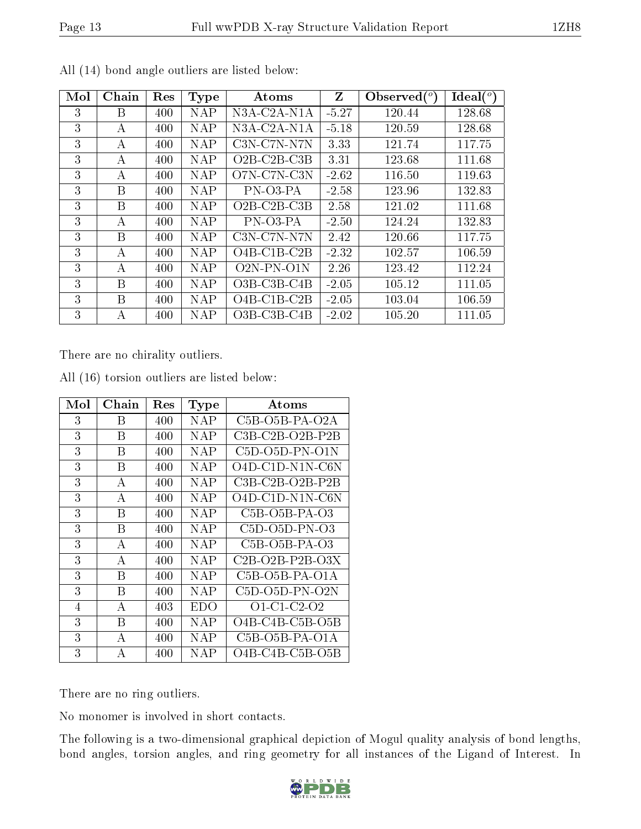|--|

| Mol | Chain | Res | Type       | Atoms                                    | Z       | Observed $\binom{o}{c}$ | $Ideal(^o)$ |
|-----|-------|-----|------------|------------------------------------------|---------|-------------------------|-------------|
| 3   | B     | 400 | <b>NAP</b> | N3A-C2A-N1A                              | $-5.27$ | 120.44                  | 128.68      |
| 3   | А     | 400 | NAP        | N3A-C2A-N1A                              | $-5.18$ | 120.59                  | 128.68      |
| 3   | А     | 400 | NAP        | $C3N-C7N-N7N$                            | 3.33    | 121.74                  | 117.75      |
| 3   | А     | 400 | NAP        | $O2B$ -C <sub>2</sub> B-C <sub>3</sub> B | 3.31    | 123.68                  | 111.68      |
| 3   | А     | 400 | <b>NAP</b> | O7N-C7N-C3N                              | $-2.62$ | 116.50                  | 119.63      |
| 3   | B     | 400 | <b>NAP</b> | PN-03-PA                                 | $-2.58$ | 123.96                  | 132.83      |
| 3   | B     | 400 | <b>NAP</b> | $O2B-C2B-C3B$                            | 2.58    | 121.02                  | 111.68      |
| 3   | А     | 400 | <b>NAP</b> | PN-03-PA                                 | $-2.50$ | 124.24                  | 132.83      |
| 3   | B     | 400 | <b>NAP</b> | $C3N-C7N-N7N$                            | 2.42    | 120.66                  | 117.75      |
| 3   | А     | 400 | NAP        | $O4B-C1B-C2B$                            | $-2.32$ | 102.57                  | 106.59      |
| 3   | А     | 400 | NAP        | $\overline{O2N}$ -PN- $O1N$              | 2.26    | 123.42                  | 112.24      |
| 3   | B     | 400 | <b>NAP</b> | $O3B$ -C <sub>3</sub> B-C <sub>4</sub> B | $-2.05$ | 105.12                  | 111.05      |
| 3   | B     | 400 | NAP        | $O4B-C1B-C2B$                            | $-2.05$ | 103.04                  | 106.59      |
| 3   | A     | 400 | NAP        | $O3B$ -C <sub>3</sub> B-C <sub>4</sub> B | $-2.02$ | 105.20                  | 111.05      |

All (14) bond angle outliers are listed below:

There are no chirality outliers.

| Mol | $Chain$ | Res | <b>Type</b> | Atoms                                                 |
|-----|---------|-----|-------------|-------------------------------------------------------|
| 3   | В       | 400 | NAP         | C <sub>5</sub> B-O <sub>5</sub> B-PA-O <sub>2</sub> A |
| 3   | Β       | 400 | NAP         | $C3B-C2B-O2B-P2B$                                     |
| 3   | В       | 400 | NAP         | $C5D-O5D-PN-O1N$                                      |
| 3   | В       | 400 | NAP         | $O4D-C1D-N1N-C6N$                                     |
| 3   | А       | 400 | <b>NAP</b>  | C3B-C2B-O2B-P2B                                       |
| 3   | А       | 400 | NAP         | $O4D-C1D-N1N-C6N$                                     |
| 3   | В       | 400 | NAP         | $C5B-O5B-PA-O3$                                       |
| 3   | В       | 400 | NAP         | $C5D-O5D-PN-O3$                                       |
| 3   | A       | 400 | <b>NAP</b>  | $C5B-O5B-PA-O3$                                       |
| 3   | А       | 400 | NAP         | $C2B-O2B-P2B-O3X$                                     |
| 3   | В       | 400 | <b>NAP</b>  | $C5B-O5B-PA-O1A$                                      |
| 3   | В       | 400 | NAP         | $C5D-O5D-PN-O2N$                                      |
| 4   | А       | 403 | <b>EDO</b>  | $O1 \text{ } C1 \text{ } C2 \text{ } O2$              |
| 3   | В       | 400 | NAP         | $O4B-C4B-C5B-O5B$                                     |
| 3   | A       | 400 | NAP         | $C5B-O5B-PA-O1A$                                      |
| 3   | А       | 400 | <b>NAP</b>  | O4B-C4B-C5B-O5B                                       |

All (16) torsion outliers are listed below:

There are no ring outliers.

No monomer is involved in short contacts.

The following is a two-dimensional graphical depiction of Mogul quality analysis of bond lengths, bond angles, torsion angles, and ring geometry for all instances of the Ligand of Interest. In

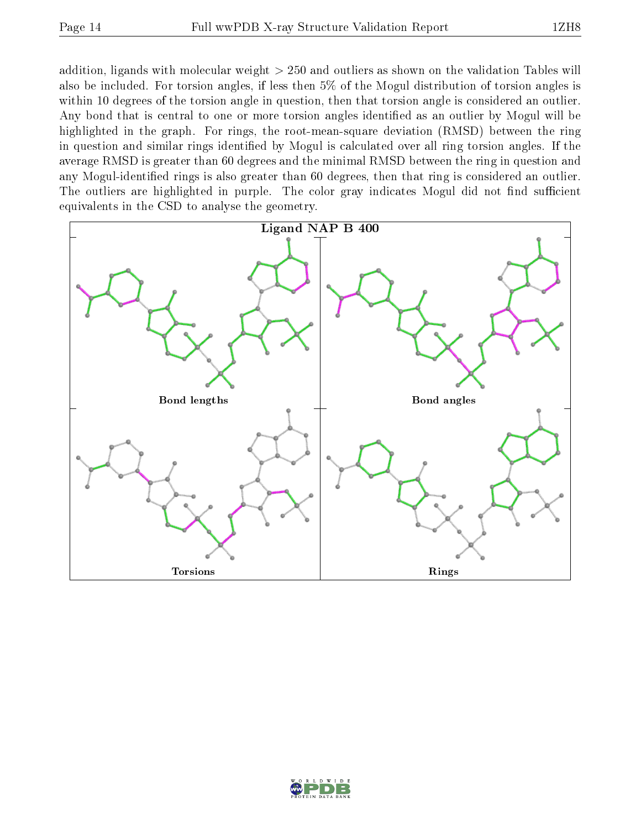addition, ligands with molecular weight > 250 and outliers as shown on the validation Tables will also be included. For torsion angles, if less then 5% of the Mogul distribution of torsion angles is within 10 degrees of the torsion angle in question, then that torsion angle is considered an outlier. Any bond that is central to one or more torsion angles identified as an outlier by Mogul will be highlighted in the graph. For rings, the root-mean-square deviation (RMSD) between the ring in question and similar rings identified by Mogul is calculated over all ring torsion angles. If the average RMSD is greater than 60 degrees and the minimal RMSD between the ring in question and any Mogul-identied rings is also greater than 60 degrees, then that ring is considered an outlier. The outliers are highlighted in purple. The color gray indicates Mogul did not find sufficient equivalents in the CSD to analyse the geometry.



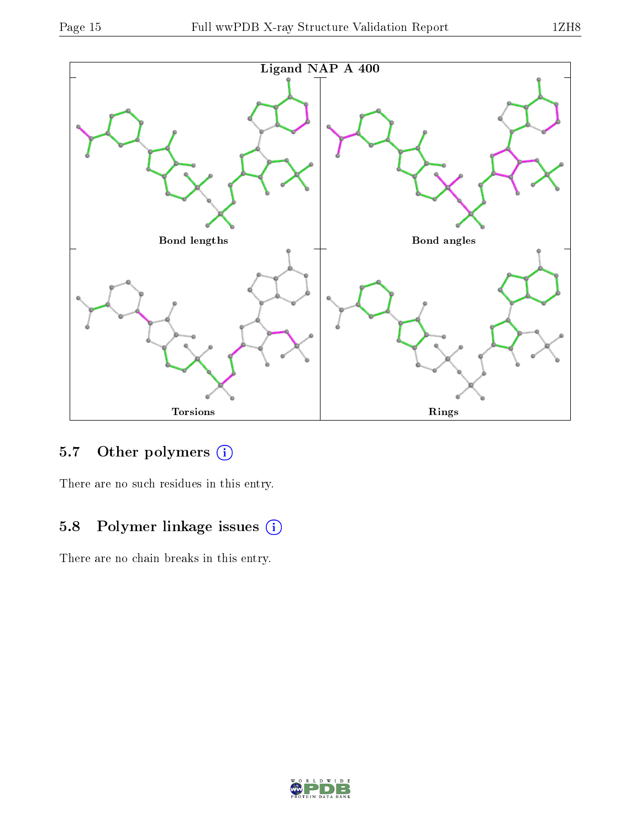

### 5.7 [O](https://www.wwpdb.org/validation/2017/XrayValidationReportHelp#nonstandard_residues_and_ligands)ther polymers (i)

There are no such residues in this entry.

### 5.8 Polymer linkage issues (i)

There are no chain breaks in this entry.

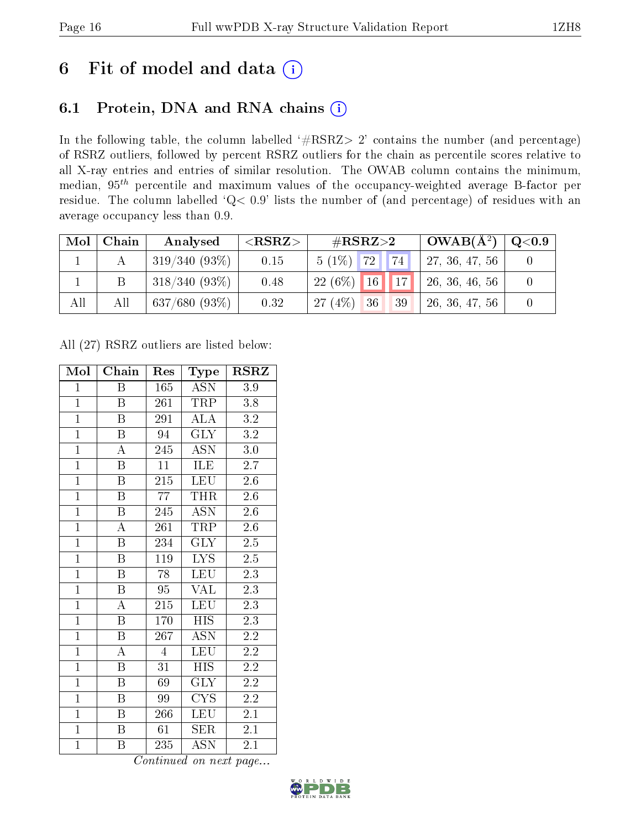# 6 Fit of model and data  $(i)$

### 6.1 Protein, DNA and RNA chains  $(i)$

In the following table, the column labelled  $#RSRZ> 2'$  contains the number (and percentage) of RSRZ outliers, followed by percent RSRZ outliers for the chain as percentile scores relative to all X-ray entries and entries of similar resolution. The OWAB column contains the minimum, median,  $95<sup>th</sup>$  percentile and maximum values of the occupancy-weighted average B-factor per residue. The column labelled ' $Q< 0.9$ ' lists the number of (and percentage) of residues with an average occupancy less than 0.9.

| Mol | Chain | Analysed         | ${ <\hspace{-1.5pt}{\mathrm{RSRZ}} \hspace{-1.5pt}>}$ | # $RSRZ>2$           | $\perp$ OWAB( $\rm A^2)$ $\perp$ | $\rm Q\textcolor{black}{<}0.9$ |
|-----|-------|------------------|-------------------------------------------------------|----------------------|----------------------------------|--------------------------------|
|     |       | $319/340(93\%)$  | 0.15                                                  | $5(1\%)$ 72<br> 74   | 27, 36, 47, 56                   |                                |
|     |       | $318/340(93\%)$  | 0.48                                                  | $22(6\%)$ 16 17      | 26, 36, 46, 56                   |                                |
| All | All   | $637/680$ (93\%) | 0.32                                                  | 27(4%)<br> 36 <br>39 | 26, 36, 47, 56                   |                                |

All (27) RSRZ outliers are listed below:

| Mol            | Chain                   | Res              | Type                           | $\rm RSRZ$       |
|----------------|-------------------------|------------------|--------------------------------|------------------|
| $\mathbf{1}$   | Β                       | 165              | <b>ASN</b>                     | 3.9              |
| $\overline{1}$ | B                       | 261              | TRP                            | $3.8\,$          |
| $\overline{1}$ | $\overline{\mathbf{B}}$ | 291              | $\overline{\rm ALA}$           | $\overline{3.2}$ |
| $\overline{1}$ | $\boldsymbol{B}$        | 94               | <b>GLY</b>                     | 3.2              |
| $\overline{1}$ | $\overline{\rm A}$      | 245              | $\overline{\mathrm{ASN}}$      | $\overline{3.0}$ |
| $\overline{1}$ | $\boldsymbol{B}$        | 11               | ILE                            | $2.\overline{7}$ |
| $\overline{1}$ | $\boldsymbol{B}$        | 215              | $\overline{\text{L}}\text{EU}$ | 2.6              |
| $\overline{1}$ | $\overline{\mathbf{B}}$ | 77               | <b>THR</b>                     | $2.6\,$          |
| $\overline{1}$ | $\overline{B}$          | 245              | <b>ASN</b>                     | 2.6              |
| $\overline{1}$ | $\overline{\rm A}$      | 261              | <b>TRP</b>                     | $2.6\,$          |
| $\overline{1}$ | $\overline{\mathrm{B}}$ | 234              | <b>GLY</b>                     | $2.\overline{5}$ |
| $\overline{1}$ | $\overline{\mathrm{B}}$ | 119              | $\overline{\text{LYS}}$        | $\overline{2.5}$ |
| $\overline{1}$ | $\overline{B}$          | 78               | LEU                            | 2.3              |
| $\overline{1}$ | $\overline{\mathrm{B}}$ | 95               | <b>VAL</b>                     | 2.3              |
| $\overline{1}$ | $\overline{\rm A}$      | 215              | <b>LEU</b>                     | $\overline{2.3}$ |
| $\mathbf{1}$   | B                       | 170              | <b>HIS</b>                     | $2.3\,$          |
| $\overline{1}$ | $\overline{\mathrm{B}}$ | $\overline{267}$ | $\overline{\text{ASN}}$        | $\overline{2.2}$ |
| $\overline{1}$ | $\boldsymbol{A}$        | $\overline{4}$   | <b>LEU</b>                     | 2.2              |
| $\overline{1}$ | $\overline{\mathrm{B}}$ | $\overline{31}$  | $\overline{HIS}$               | $\overline{2.2}$ |
| $\overline{1}$ | B                       | 69               | $\overline{\text{GLY}}$        | $\overline{2.2}$ |
| $\overline{1}$ | $\overline{B}$          | 99               | <b>CYS</b>                     | 2.2              |
| $\overline{1}$ | $\boldsymbol{B}$        | 266              | LEU                            | $2.\overline{1}$ |
| $\mathbf{1}$   | $\boldsymbol{B}$        | 61               | <b>SER</b>                     | 2.1              |
| $\mathbf{1}$   | B                       | 235              | $\overline{\mathrm{ASN}}$      | 2.1              |

Continued on next page...

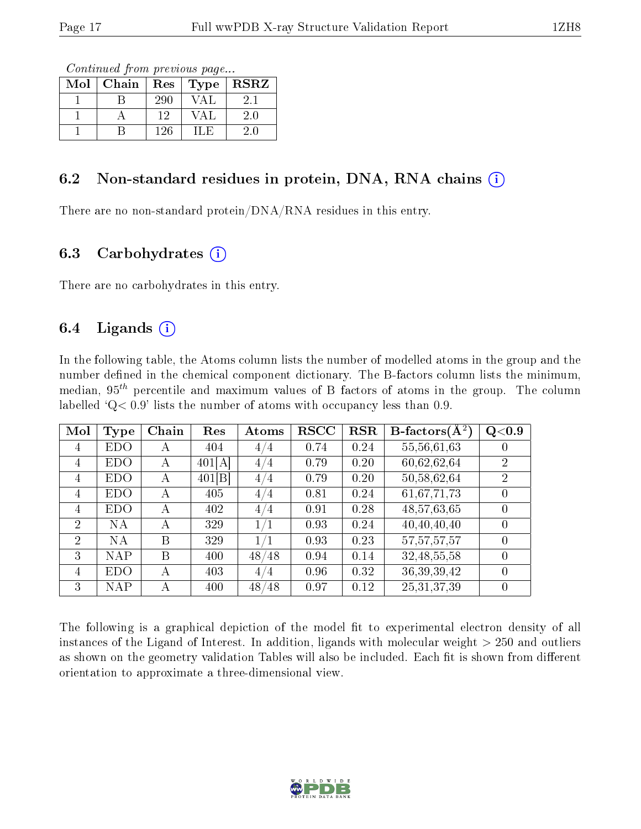Continued from previous page...

| Mol | Chain | Res <sub>1</sub> | $\top$ Type $\top$ | <b>RSRZ</b> |
|-----|-------|------------------|--------------------|-------------|
|     |       | 290              |                    |             |
|     |       | 19               |                    | 2.0         |
|     |       | 126              |                    |             |

#### 6.2 Non-standard residues in protein, DNA, RNA chains  $(i)$

There are no non-standard protein/DNA/RNA residues in this entry.

#### 6.3 Carbohydrates  $(i)$

There are no carbohydrates in this entry.

#### 6.4 Ligands  $(i)$

In the following table, the Atoms column lists the number of modelled atoms in the group and the number defined in the chemical component dictionary. The B-factors column lists the minimum, median,  $95<sup>th</sup>$  percentile and maximum values of B factors of atoms in the group. The column labelled  $Q< 0.9$ ' lists the number of atoms with occupancy less than 0.9.

| Mol            | Type       | Chain | Res    | Atoms     | <b>RSCC</b> | RSR  | $B\text{-}factors(\overline{A^2})$ | Q <sub>0.9</sub> |
|----------------|------------|-------|--------|-----------|-------------|------|------------------------------------|------------------|
| 4              | EDO        | A     | 404    | 4/4       | 0.74        | 0.24 | 55,56,61,63                        |                  |
| 4              | EDO        | А     | 401[A] | 4/4       | 0.79        | 0.20 | 60,62,62,64                        | $\overline{2}$   |
| 4              | EDO        | А     | 401[B] | 4/4       | 0.79        | 0.20 | 50,58,62,64                        | $\overline{2}$   |
| 4              | EDO        | А     | 405    | 4/4       | 0.81        | 0.24 | 61,67,71,73                        |                  |
| 4              | EDO        | А     | 402    | 4/4       | 0.91        | 0.28 | 48,57,63,65                        |                  |
| $\overline{2}$ | NA         | A     | 329    | 1/1       | 0.93        | 0.24 | 40,40,40,40                        |                  |
| $\overline{2}$ | <b>NA</b>  | В     | 329    |           | 0.93        | 0.23 | 57, 57, 57, 57                     |                  |
| 3              | <b>NAP</b> | B     | 400    | 48<br>/48 | 0.94        | 0.14 | 32, 48, 55, 58                     |                  |
| 4              | <b>EDO</b> | А     | 403    | 4/4       | 0.96        | 0.32 | 36, 39, 39, 42                     |                  |
| 3              | NAP        | А     | 400    | 48<br>/48 | 0.97        | 0.12 | 25, 31, 37, 39                     |                  |

The following is a graphical depiction of the model fit to experimental electron density of all instances of the Ligand of Interest. In addition, ligands with molecular weight > 250 and outliers as shown on the geometry validation Tables will also be included. Each fit is shown from different orientation to approximate a three-dimensional view.

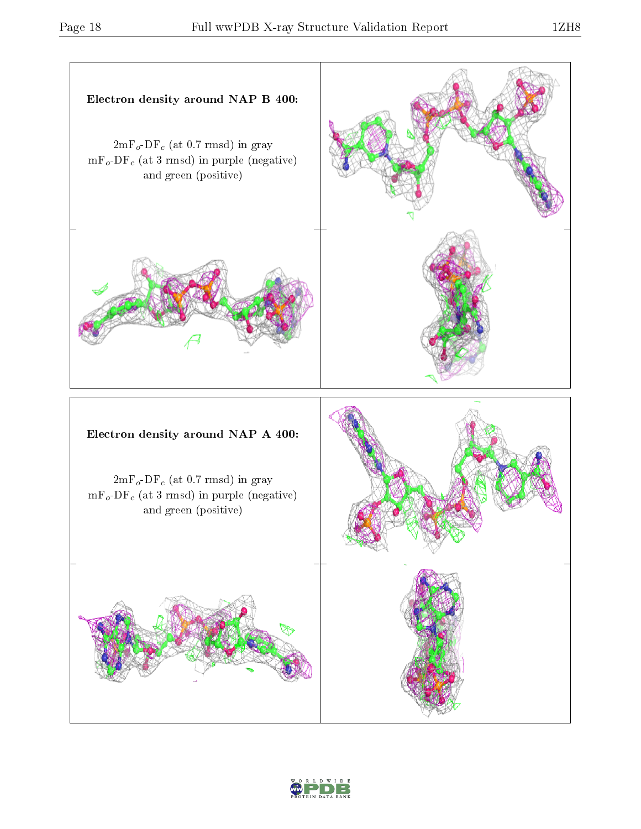